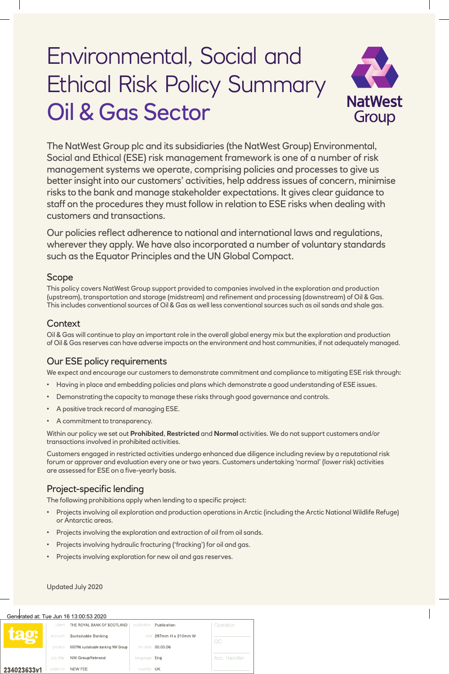# Environmental, Social and Ethical Risk Policy Summary Oil & Gas Sector



The NatWest Group plc and its subsidiaries (the NatWest Group) Environmental, Social and Ethical (ESE) risk management framework is one of a number of risk management systems we operate, comprising policies and processes to give us better insight into our customers' activities, help address issues of concern, minimise risks to the bank and manage stakeholder expectations. It gives clear guidance to staff on the procedures they must follow in relation to ESE risks when dealing with customers and transactions.

Our policies reflect adherence to national and international laws and regulations, wherever they apply. We have also incorporated a number of voluntary standards such as the Equator Principles and the UN Global Compact.

## Scope

This policy covers NatWest Group support provided to companies involved in the exploration and production (upstream), transportation and storage (midstream) and refinement and processing (downstream) of Oil & Gas. This includes conventional sources of Oil & Gas as well less conventional sources such as oil sands and shale gas.

### **Context**

Oil & Gas will continue to play an important role in the overall global energy mix but the exploration and production of Oil & Gas reserves can have adverse impacts on the environment and host communities, if not adequately managed.

## Our ESE policy requirements

We expect and encourage our customers to demonstrate commitment and compliance to mitigating ESE risk through:

- Having in place and embedding policies and plans which demonstrate a good understanding of ESE issues.
- Demonstrating the capacity to manage these risks through good governance and controls.
- A positive track record of managing ESE.
- A commitment to transparency.

Within our policy we set out **Prohibited**, **Restricted** and **Normal** activities. We do not support customers and/or transactions involved in prohibited activities.

Customers engaged in restricted activities undergo enhanced due diligence including review by a reputational risk forum or approver and evaluation every one or two years. Customers undertaking 'normal' (lower risk) activities are assessed for ESE on a five-yearly basis.

## Project-specific lending

The following prohibitions apply when lending to a specific project:

- Projects involving oil exploration and production operations in Arctic (including the Arctic National Wildlife Refuge) or Antarctic areas.
- Projects involving the exploration and extraction of oil from oil sands.
- Projects involving hydraulic fracturing ('fracking') for oil and gas.
- Projects involving exploration for new oil and gas reserves.